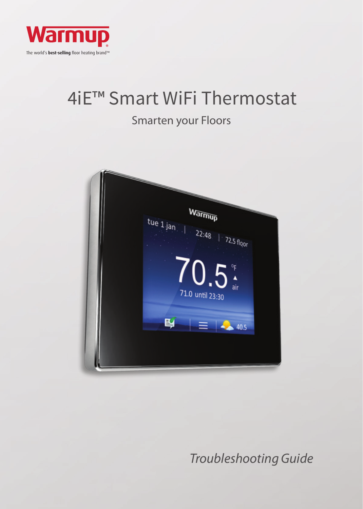

# 4iE™ Smart WiFi Thermostat

## Smarten your Floors



## *Troubleshooting Guide*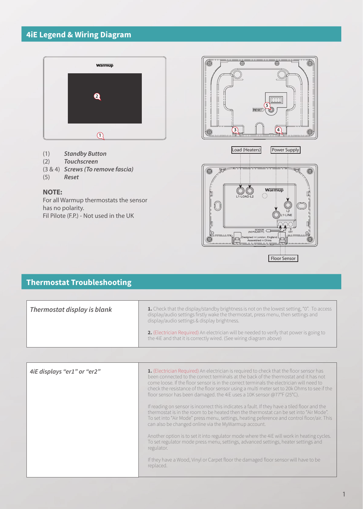#### **4iE Legend & Wiring Diagram**



- (1) *Standby Button*
- (2) *Touchscreen*
- (3 & 4) *Screws (To remove fascia)*
- (5) *Reset*

#### **NOTE:**

For all Warmup thermostats the sensor has no polarity. Fil Pilote (F.P.) - Not used in the UK





#### **Thermostat Troubleshooting**

| Thermostat display is blank | 1. Check that the display/standby brightness is not on the lowest setting, "0". To access<br>display/audio settings firstly wake the thermostat, press menu, then settings and<br>display/audio settings & display brightness. |
|-----------------------------|--------------------------------------------------------------------------------------------------------------------------------------------------------------------------------------------------------------------------------|
|                             | 2. (Electrician Required) An electrician will be needed to verify that power is going to<br>the 4iE and that it is correctly wired. (See wiring diagram above)                                                                 |

| 4iE displays "er1" or "er2" | 1. (Electrician Required) An electrician is required to check that the floor sensor has<br>been connected to the correct terminals at the back of the thermostat and it has not<br>come loose. If the floor sensor is in the correct terminals the electrician will need to<br>check the resistance of the floor sensor using a multi meter set to 20k Ohms to see if the<br>floor sensor has been damaged. the 4iE uses a 10K sensor @77°F (25°C). |
|-----------------------------|-----------------------------------------------------------------------------------------------------------------------------------------------------------------------------------------------------------------------------------------------------------------------------------------------------------------------------------------------------------------------------------------------------------------------------------------------------|
|                             | If reading on sensor is incorrect this indicates a fault. If they have a tiled floor and the<br>thermostat is in the room to be heated then the thermostat can be set into "Air Mode".<br>To set into "Air Mode" press menu, settings, heating peference and control floor/air. This<br>can also be changed online via the MyWarmup account.                                                                                                        |
|                             | Another option is to set it into regulator mode where the 4iE will work in heating cycles.<br>To set regulator mode press menu, settings, advanced settings, heater settings and<br>regulator.                                                                                                                                                                                                                                                      |
|                             | If they have a Wood, Vinyl or Carpet floor the damaged floor sensor will have to be<br>replaced.                                                                                                                                                                                                                                                                                                                                                    |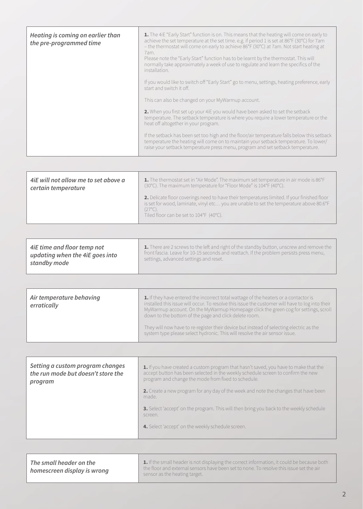| Heating is coming on earlier than<br>the pre-programmed time | 1. The 4iE "Early Start" function is on. This means that the heating will come on early to<br>achieve the set temperature at the set time. e.g. if period 1 is set at 86°F (30°C) for 7am<br>- the thermostat will come on early to achieve 86°F (30°C) at 7am. Not start heating at<br>7am.<br>Please note the "Early Start" function has to be learnt by the thermostat. This will<br>normally take approximately a week of use to regulate and learn the specifics of the<br>installation.<br>If you would like to switch off "Early Start" go to menu, settings, heating preference, early<br>start and switch it off. |
|--------------------------------------------------------------|----------------------------------------------------------------------------------------------------------------------------------------------------------------------------------------------------------------------------------------------------------------------------------------------------------------------------------------------------------------------------------------------------------------------------------------------------------------------------------------------------------------------------------------------------------------------------------------------------------------------------|
|                                                              | This can also be changed on your MyWarmup account.                                                                                                                                                                                                                                                                                                                                                                                                                                                                                                                                                                         |
|                                                              | 2. When you first set up your 4iE you would have been asked to set the setback<br>temperature. The setback temperature is where you require a lower temperature or the<br>heat off altogether in your program.                                                                                                                                                                                                                                                                                                                                                                                                             |
|                                                              | If the setback has been set too high and the floor/air temperature falls below this setback<br>temperature the heating will come on to maintain your setback temperature. To lower/<br>raise your setback temperature press menu, program and set setback temperature.                                                                                                                                                                                                                                                                                                                                                     |

| 4iE will not allow me to set above a | 1. The thermostat set in "Air Mode". The maximum set temperature in air mode is 86°F                                                                                                                                                                  |
|--------------------------------------|-------------------------------------------------------------------------------------------------------------------------------------------------------------------------------------------------------------------------------------------------------|
| certain temperature                  | (30°C). The maximum temperature for "Floor Mode" is 104°F (40°C).                                                                                                                                                                                     |
|                                      | 2. Delicate floor coverings need to have their temperatures limited. If your finished floor<br>is set for wood, laminate, vinyl etc you are unable to set the temperature above 80.6°F<br>$(27^{\circ}C).$<br>Tiled floor can be set to 104°F (40°C). |

| 4iE time and floor temp not     | 1. There are 2 screws to the left and right of the standby button, unscrew and remove the |
|---------------------------------|-------------------------------------------------------------------------------------------|
| updating when the 4iE goes into | front fascia. Leave for 10-15 seconds and reattach. If the problem persists press menu,   |
| standby mode                    | settings, advanced settings and reset.                                                    |

| Air temperature behaving<br>erratically | 1. If they have entered the incorrect total wattage of the heaters or a contactor is<br>installed this issue will occur. To resolve this issue the customer will have to log into their<br>MyWarmup account. On the MyWarmup Homepage click the green cog for settings, scroll<br>down to the bottom of the page and click delete room. |
|-----------------------------------------|-----------------------------------------------------------------------------------------------------------------------------------------------------------------------------------------------------------------------------------------------------------------------------------------------------------------------------------------|
|                                         | They will now have to re-register their device but instead of selecting electric as the<br>system type please select hydronic. This will resolve the air sensor issue.                                                                                                                                                                  |

| Setting a custom program changes<br>the run mode but doesn't store the<br>program | 1. If you have created a custom program that hasn't saved, you have to make that the<br>accept button has been selected in the weekly schedule screen to confirm the new<br>program and change the mode from fixed to schedule. |
|-----------------------------------------------------------------------------------|---------------------------------------------------------------------------------------------------------------------------------------------------------------------------------------------------------------------------------|
|                                                                                   | 2. Create a new program for any day of the week and note the changes that have been<br>made.                                                                                                                                    |
|                                                                                   | 3. Select 'accept' on the program. This will then bring you back to the weekly schedule<br>screen.                                                                                                                              |
|                                                                                   | 4. Select 'accept' on the weekly schedule screen.                                                                                                                                                                               |

| <b>1.</b> If the small header is not displaying the correct information, it could be because both<br>the floor and external sensors have been set to none. To resolve this issue set the air |
|----------------------------------------------------------------------------------------------------------------------------------------------------------------------------------------------|
|                                                                                                                                                                                              |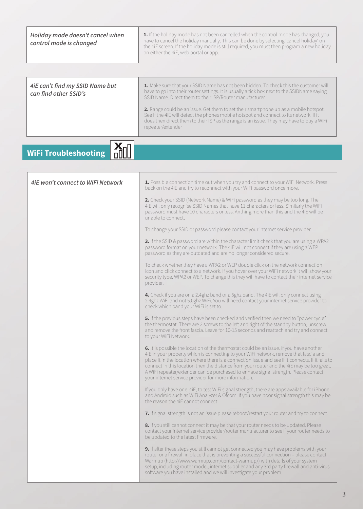| Holiday mode doesn't cancel when<br>control mode is changed | 1. If the holiday mode has not been cancelled when the control mode has changed, you<br>have to cancel the holiday manually. This can be done by selecting 'cancel holiday' on<br>the 4iE screen. If the holiday mode is still required, you must then program a new holiday<br>on either the 4iE, web portal or app.                                                                                                                                                                                                                                                                                                                                                                                                                                                                                                                                                                                                                                                                                                                                                                                                                                                                                                                                                                                                                                                                                                                                                                                                                                                                                                                     |
|-------------------------------------------------------------|-------------------------------------------------------------------------------------------------------------------------------------------------------------------------------------------------------------------------------------------------------------------------------------------------------------------------------------------------------------------------------------------------------------------------------------------------------------------------------------------------------------------------------------------------------------------------------------------------------------------------------------------------------------------------------------------------------------------------------------------------------------------------------------------------------------------------------------------------------------------------------------------------------------------------------------------------------------------------------------------------------------------------------------------------------------------------------------------------------------------------------------------------------------------------------------------------------------------------------------------------------------------------------------------------------------------------------------------------------------------------------------------------------------------------------------------------------------------------------------------------------------------------------------------------------------------------------------------------------------------------------------------|
| 4iE can't find my SSID Name but<br>can find other SSID's    | 1. Make sure that your SSID Name has not been hidden. To check this the customer will<br>have to go into their router settings. It is usually a tick box next to the SSIDName saying<br>SSID Name. Direct them to their ISP/Router manufacturer.<br>2. Range could be an issue. Get them to set their smartphone up as a mobile hotspot.<br>See if the 4iE will detect the phones mobile hotspot and connect to its network. If it<br>does then direct them to their ISP as the range is an issue. They may have to buy a WiFi<br>repeater/extender                                                                                                                                                                                                                                                                                                                                                                                                                                                                                                                                                                                                                                                                                                                                                                                                                                                                                                                                                                                                                                                                                       |
| <b>WiFi Troubleshooting</b>                                 |                                                                                                                                                                                                                                                                                                                                                                                                                                                                                                                                                                                                                                                                                                                                                                                                                                                                                                                                                                                                                                                                                                                                                                                                                                                                                                                                                                                                                                                                                                                                                                                                                                           |
| <b>4iE won't connect to WiFi Network</b>                    | 1. Possible connection time out when you try and connect to your WiFi Network. Press<br>back on the 4iE and try to reconnect with your WiFi password once more.<br>2. Check your SSID (Network Name) & WiFi password as they may be too long. The<br>4iE will only recognise SSID Names that have 11 characters or less. Similarly the WiFi<br>password must have 10 characters or less. Anthing more than this and the 4iE will be<br>unable to connect.<br>To change your SSID or password please contact your internet service provider.<br>3. If the SSID & password are within the character limit check that you are using a WPA2<br>password format on your network. The 4iE will not connect if they are using a WEP<br>password as they are outdated and are no longer considered secure.<br>To check whether they have a WPA2 or WEP double click on the network connection<br>icon and click connect to a network. If you hover over your WiFi network it will show your<br>security type. WPA2 or WEP. To change this they will have to contact their internet service<br>provider.<br>4. Check if you are on a 2.4ghz band or a 5ghz band. The 4iE will only connect using<br>2.4ghz WiFi and not 5.0ghz WiFi. You will need contact your internet service provider to<br>check which band your WiFi is set to.<br><b>5.</b> If the previous steps have been checked and verified then we need to "power cycle"<br>the thermostat. There are 2 screws to the left and right of the standby button, unscrew<br>and remove the front fascia. Leave for 10-15 seconds and reattach and try and connect<br>to your WiFi Network. |
|                                                             | 6. It is possible the location of the thermostat could be an issue. If you have another<br>4iE in your property which is connecting to your WiFi network, remove that fascia and<br>place it in the location where there is a connection issue and see if it connects. If it fails to<br>connect in this location then the distance from your router and the 4iE may be too great.<br>A WiFi repeater/extender can be purchased to enhace signal strength. Please contact<br>your internet service provider for more information.<br>If you only have one 4iE, to test WiFi signal strength, there are apps available for iPhone<br>and Android such as WiFi Analyzer & Ofcom. If you have poor signal strength this may be<br>the reason the 4 E cannot connect.<br>7. If signal strength is not an issue please reboot/restart your router and try to connect.<br>8. If you still cannot connect it may be that your router needs to be updated. Please<br>contact your internet service provider/router manufacturer to see if your router needs to<br>be updated to the latest firmware.<br><b>9.</b> If after these steps you still cannot get connected you may have problems with your<br>router or a firewall in place that is preventing a successful connection - please contact<br>Warmup (http://www.warmup.com/contact-warmup/) with details of your system<br>setup, including router model, internet supplier and any 3rd party firewall and anti-virus<br>software you have installed and we will investigate your problem.                                                                                               |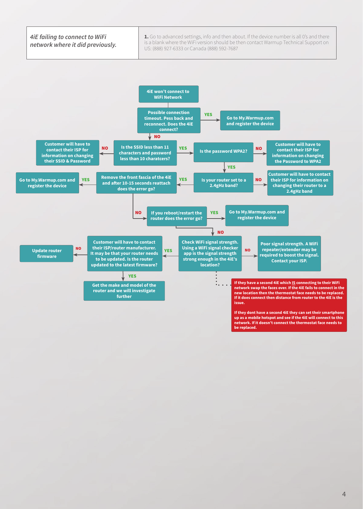

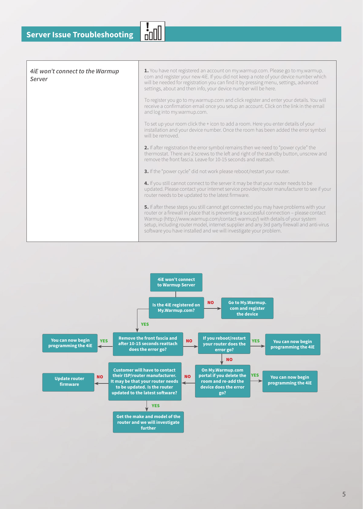| 4iE won't connect to the Warmup<br>Server | 1. You have not registered an account on my.warmup.com. Please go to my.warmup.<br>com and register your new 4iE. If you did not keep a note of your device number which<br>will be needed for registration you can find it by pressing menu, settings, advanced<br>settings, about and then info, your device number will be here.                                                                                                  |
|-------------------------------------------|--------------------------------------------------------------------------------------------------------------------------------------------------------------------------------------------------------------------------------------------------------------------------------------------------------------------------------------------------------------------------------------------------------------------------------------|
|                                           | To register you go to my.warmup.com and click register and enter your details. You will<br>receive a confirmation email once you setup an account. Click on the link in the email<br>and log into my.warmup.com.                                                                                                                                                                                                                     |
|                                           | To set up your room click the + icon to add a room. Here you enter details of your<br>installation and your device number. Once the room has been added the error symbol<br>will be removed                                                                                                                                                                                                                                          |
|                                           | 2. If after registration the error symbol remains then we need to "power cycle" the<br>thermostat. There are 2 screws to the left and right of the standby button, unscrew and<br>remove the front fascia. Leave for 10-15 seconds and reattach.                                                                                                                                                                                     |
|                                           | 3. If the "power cycle" did not work please reboot/restart your router.                                                                                                                                                                                                                                                                                                                                                              |
|                                           | 4. If you still cannot connect to the server it may be that your router needs to be<br>updated. Please contact your internet service provider/router manufacturer to see if your<br>router needs to be updated to the latest firmware.                                                                                                                                                                                               |
|                                           | 5. If after these steps you still cannot get connected you may have problems with your<br>router or a firewall in place that is preventing a successful connection - please contact<br>Warmup (http://www.warmup.com/contact-warmup/) with details of your system<br>setup, including router model, internet supplier and any 3rd party firewall and anti-virus<br>software you have installed and we will investigate your problem. |
|                                           |                                                                                                                                                                                                                                                                                                                                                                                                                                      |